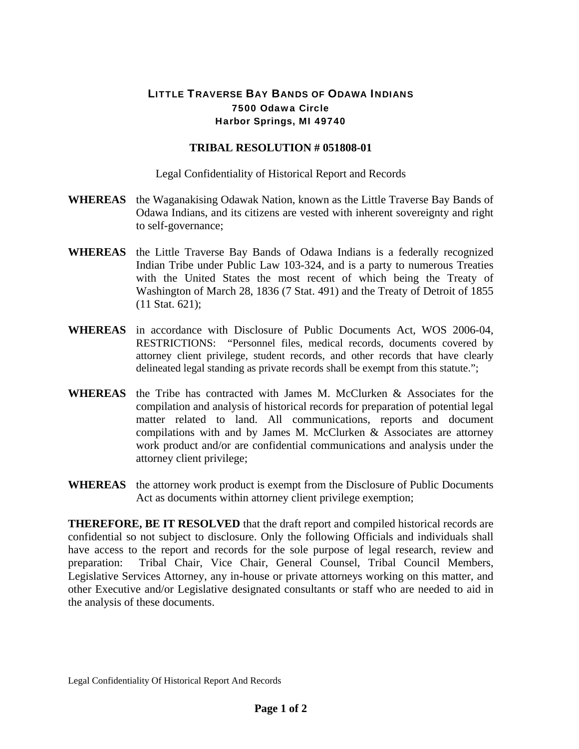## LITTLE TRAVERSE BAY BANDS OF ODAWA INDIANS 7500 Odawa Circle Harbor Springs, MI 49740

## **TRIBAL RESOLUTION # 051808-01**

Legal Confidentiality of Historical Report and Records

- **WHEREAS** the Waganakising Odawak Nation, known as the Little Traverse Bay Bands of Odawa Indians, and its citizens are vested with inherent sovereignty and right to self-governance;
- **WHEREAS** the Little Traverse Bay Bands of Odawa Indians is a federally recognized Indian Tribe under Public Law 103-324, and is a party to numerous Treaties with the United States the most recent of which being the Treaty of Washington of March 28, 1836 (7 Stat. 491) and the Treaty of Detroit of 1855 (11 Stat. 621);
- **WHEREAS** in accordance with Disclosure of Public Documents Act, WOS 2006-04, RESTRICTIONS: "Personnel files, medical records, documents covered by attorney client privilege, student records, and other records that have clearly delineated legal standing as private records shall be exempt from this statute.";
- **WHEREAS** the Tribe has contracted with James M. McClurken & Associates for the compilation and analysis of historical records for preparation of potential legal matter related to land. All communications, reports and document compilations with and by James M. McClurken & Associates are attorney work product and/or are confidential communications and analysis under the attorney client privilege;
- **WHEREAS** the attorney work product is exempt from the Disclosure of Public Documents Act as documents within attorney client privilege exemption;

**THEREFORE, BE IT RESOLVED** that the draft report and compiled historical records are confidential so not subject to disclosure. Only the following Officials and individuals shall have access to the report and records for the sole purpose of legal research, review and preparation: Tribal Chair, Vice Chair, General Counsel, Tribal Council Members, Legislative Services Attorney, any in-house or private attorneys working on this matter, and other Executive and/or Legislative designated consultants or staff who are needed to aid in the analysis of these documents.